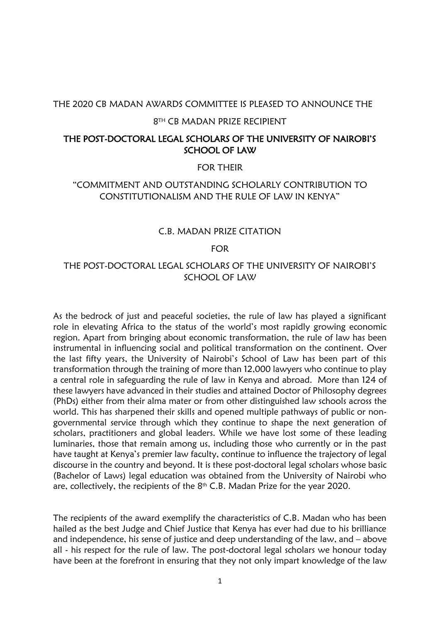#### THE 2020 CB MADAN AWARDS COMMITTEE IS PLEASED TO ANNOUNCE THE

#### 8 TH CB MADAN PRIZE RECIPIENT

#### THE POST-DOCTORAL LEGAL SCHOLARS OF THE UNIVERSITY OF NAIROBI'S SCHOOL OF LAW

#### FOR THEIR

#### "COMMITMENT AND OUTSTANDING SCHOLARLY CONTRIBUTION TO CONSTITUTIONALISM AND THE RULE OF LAW IN KENYA"

#### C.B. MADAN PRIZE CITATION

FOR

#### THE POST-DOCTORAL LEGAL SCHOLARS OF THE UNIVERSITY OF NAIROBI'S SCHOOL OF LAW

As the bedrock of just and peaceful societies, the rule of law has played a significant role in elevating Africa to the status of the world's most rapidly growing economic region. Apart from bringing about economic transformation, the rule of law has been instrumental in influencing social and political transformation on the continent. Over the last fifty years, the University of Nairobi's School of Law has been part of this transformation through the training of more than 12,000 lawyers who continue to play a central role in safeguarding the rule of law in Kenya and abroad. More than 124 of these lawyers have advanced in their studies and attained Doctor of Philosophy degrees (PhDs) either from their alma mater or from other distinguished law schools across the world. This has sharpened their skills and opened multiple pathways of public or nongovernmental service through which they continue to shape the next generation of scholars, practitioners and global leaders. While we have lost some of these leading luminaries, those that remain among us, including those who currently or in the past have taught at Kenya's premier law faculty, continue to influence the trajectory of legal discourse in the country and beyond. It is these post-doctoral legal scholars whose basic (Bachelor of Laws) legal education was obtained from the University of Nairobi who are, collectively, the recipients of the  $8<sup>th</sup>$  C.B. Madan Prize for the year 2020.

The recipients of the award exemplify the characteristics of C.B. Madan who has been hailed as the best Judge and Chief Justice that Kenya has ever had due to his brilliance and independence, his sense of justice and deep understanding of the law, and – above all - his respect for the rule of law. The post-doctoral legal scholars we honour today have been at the forefront in ensuring that they not only impart knowledge of the law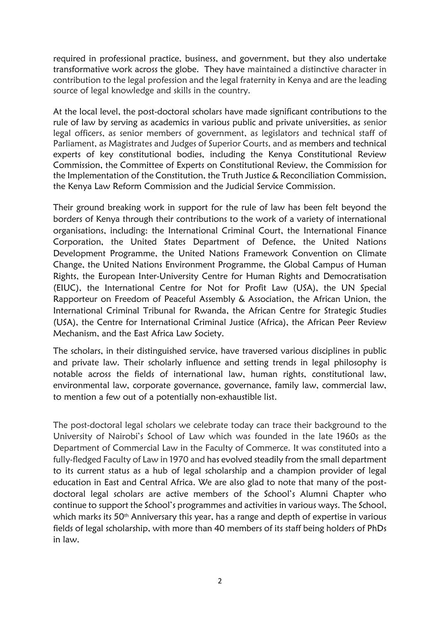required in professional practice, business, and government, but they also undertake transformative work across the globe. They have maintained a distinctive character in contribution to the legal profession and the legal fraternity in Kenya and are the leading source of legal knowledge and skills in the country.

At the local level, the post-doctoral scholars have made significant contributions to the rule of law by serving as academics in various public and private universities, as senior legal officers, as senior members of government, as legislators and technical staff of Parliament, as Magistrates and Judges of Superior Courts, and as members and technical experts of key constitutional bodies, including the Kenya Constitutional Review Commission, the Committee of Experts on Constitutional Review, the Commission for the Implementation of the Constitution, the Truth Justice & Reconciliation Commission, the Kenya Law Reform Commission and the Judicial Service Commission.

Their ground breaking work in support for the rule of law has been felt beyond the borders of Kenya through their contributions to the work of a variety of international organisations, including: the International Criminal Court, the International Finance Corporation, the United States Department of Defence, the United Nations Development Programme, the United Nations Framework Convention on Climate Change, the United Nations Environment Programme, the Global Campus of Human Rights, the European Inter-University Centre for Human Rights and Democratisation (EIUC), the International Centre for Not for Profit Law (USA), the UN Special Rapporteur on Freedom of Peaceful Assembly & Association, the African Union, the International Criminal Tribunal for Rwanda, the African Centre for Strategic Studies (USA), the Centre for International Criminal Justice (Africa), the African Peer Review Mechanism, and the East Africa Law Society.

The scholars, in their distinguished service, have traversed various disciplines in public and private law. Their scholarly influence and setting trends in legal philosophy is notable across the fields of international law, human rights, constitutional law, environmental law, corporate governance, governance, family law, commercial law, to mention a few out of a potentially non-exhaustible list.

The post-doctoral legal scholars we celebrate today can trace their background to the University of Nairobi's School of Law which was founded in the late 1960s as the Department of Commercial Law in the Faculty of Commerce. It was constituted into a fully-fledged Faculty of Law in 1970 and has evolved steadily from the small department to its current status as a hub of legal scholarship and a champion provider of legal education in East and Central Africa. We are also glad to note that many of the postdoctoral legal scholars are active members of the School's Alumni Chapter who continue to support the School's programmes and activities in various ways. The School, which marks its 50<sup>th</sup> Anniversary this year, has a range and depth of expertise in various fields of legal scholarship, with more than 40 members of its staff being holders of PhDs in law.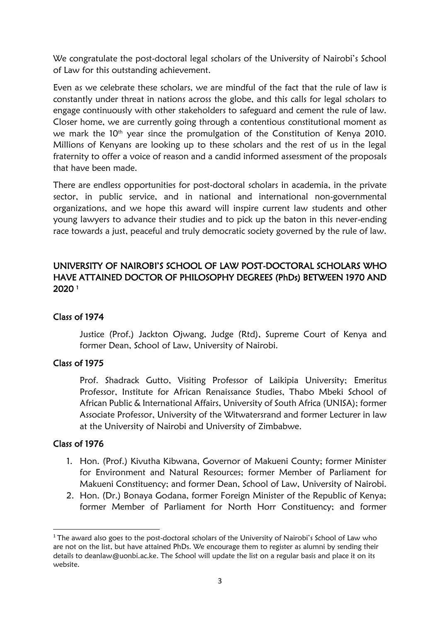We congratulate the post-doctoral legal scholars of the University of Nairobi's School of Law for this outstanding achievement.

Even as we celebrate these scholars, we are mindful of the fact that the rule of law is constantly under threat in nations across the globe, and this calls for legal scholars to engage continuously with other stakeholders to safeguard and cement the rule of law. Closer home, we are currently going through a contentious constitutional moment as we mark the 10<sup>th</sup> year since the promulgation of the Constitution of Kenya 2010. Millions of Kenyans are looking up to these scholars and the rest of us in the legal fraternity to offer a voice of reason and a candid informed assessment of the proposals that have been made.

There are endless opportunities for post-doctoral scholars in academia, in the private sector, in public service, and in national and international non-governmental organizations, and we hope this award will inspire current law students and other young lawyers to advance their studies and to pick up the baton in this never-ending race towards a just, peaceful and truly democratic society governed by the rule of law.

### UNIVERSITY OF NAIROBI'S SCHOOL OF LAW POST-DOCTORAL SCHOLARS WHO HAVE ATTAINED DOCTOR OF PHILOSOPHY DEGREES (PhDs) BETWEEN 1970 AND 2020 <sup>1</sup>

#### Class of 1974

Justice (Prof.) Jackton Ojwang, Judge (Rtd), Supreme Court of Kenya and former Dean, School of Law, University of Nairobi.

#### Class of 1975

Prof. Shadrack Gutto, Visiting Professor of Laikipia University; Emeritus Professor, Institute for African Renaissance Studies, Thabo Mbeki School of African Public & International Affairs, University of South Africa (UNISA); former Associate Professor, University of the Witwatersrand and former Lecturer in law at the University of Nairobi and University of Zimbabwe.

- 1. Hon. (Prof.) Kivutha Kibwana, Governor of Makueni County; former Minister for Environment and Natural Resources; former Member of Parliament for Makueni Constituency; and former Dean, School of Law, University of Nairobi.
- 2. Hon. (Dr.) Bonaya Godana, former Foreign Minister of the Republic of Kenya; former Member of Parliament for North Horr Constituency; and former

<sup>&</sup>lt;sup>1</sup> The award also goes to the post-doctoral scholars of the University of Nairobi's School of Law who are not on the list, but have attained PhDs. We encourage them to register as alumni by sending their details to [deanlaw@uonbi.ac.ke.](mailto:deanlaw@uonbi.ac.ke) The School will update the list on a regular basis and place it on its website.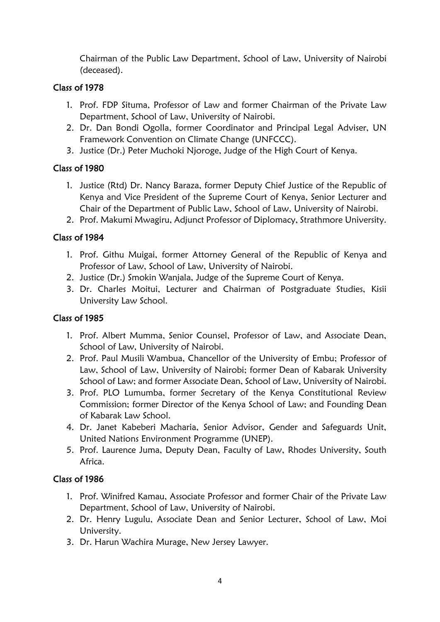Chairman of the Public Law Department, School of Law, University of Nairobi (deceased).

# Class of 1978

- 1. Prof. FDP Situma, Professor of Law and former Chairman of the Private Law Department, School of Law, University of Nairobi.
- 2. Dr. Dan Bondi Ogolla, former Coordinator and Principal Legal Adviser, UN Framework Convention on Climate Change (UNFCCC).
- 3. Justice (Dr.) Peter Muchoki Njoroge, Judge of the High Court of Kenya.

# Class of 1980

- 1. Justice (Rtd) Dr. Nancy Baraza, former Deputy Chief Justice of the Republic of Kenya and Vice President of the Supreme Court of Kenya, Senior Lecturer and Chair of the Department of Public Law, School of Law, University of Nairobi.
- 2. Prof. Makumi Mwagiru, Adjunct Professor of Diplomacy, Strathmore University.

# Class of 1984

- 1. Prof. Githu Muigai, former Attorney General of the Republic of Kenya and Professor of Law, School of Law, University of Nairobi.
- 2. Justice (Dr.) Smokin Wanjala, Judge of the Supreme Court of Kenya.
- 3. Dr. Charles Moitui, Lecturer and Chairman of Postgraduate Studies, Kisii University Law School.

# Class of 1985

- 1. Prof. Albert Mumma, Senior Counsel, Professor of Law, and Associate Dean, School of Law, University of Nairobi.
- 2. Prof. Paul Musili Wambua, Chancellor of the University of Embu; Professor of Law, School of Law, University of Nairobi; former Dean of Kabarak University School of Law; and former Associate Dean, School of Law, University of Nairobi.
- 3. Prof. PLO Lumumba, former Secretary of the Kenya Constitutional Review Commission; former Director of the Kenya School of Law; and Founding Dean of Kabarak Law School.
- 4. Dr. Janet Kabeberi Macharia, Senior Advisor, Gender and Safeguards Unit, United Nations Environment Programme (UNEP).
- 5. Prof. Laurence Juma, Deputy Dean, Faculty of Law, Rhodes University, South Africa.

- 1. Prof. Winifred Kamau, Associate Professor and former Chair of the Private Law Department, School of Law, University of Nairobi.
- 2. Dr. Henry Lugulu, Associate Dean and Senior Lecturer, School of Law, Moi University.
- 3. Dr. Harun Wachira Murage, New Jersey Lawyer.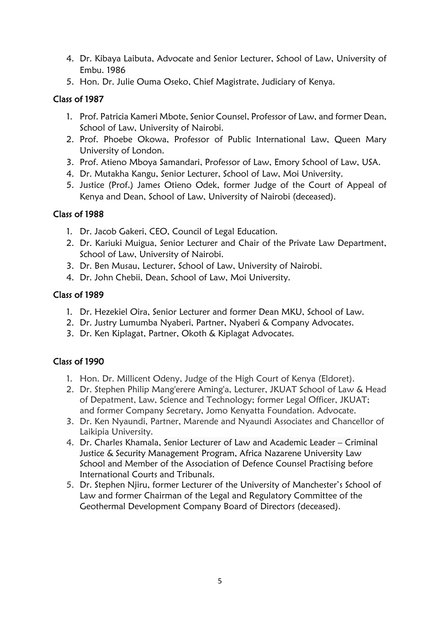- 4. Dr. Kibaya Laibuta, Advocate and Senior Lecturer, School of Law, University of Embu. 1986
- 5. Hon. Dr. Julie Ouma Oseko, Chief Magistrate, Judiciary of Kenya.

# Class of 1987

- 1. Prof. Patricia Kameri Mbote, Senior Counsel, Professor of Law, and former Dean, School of Law, University of Nairobi.
- 2. Prof. Phoebe Okowa, Professor of Public International Law, Queen Mary University of London.
- 3. Prof. Atieno Mboya Samandari, Professor of Law, Emory School of Law, USA.
- 4. Dr. Mutakha Kangu, Senior Lecturer, School of Law, Moi University.
- 5. Justice (Prof.) James Otieno Odek, former Judge of the Court of Appeal of Kenya and Dean, School of Law, University of Nairobi (deceased).

### Class of 1988

- 1. Dr. Jacob Gakeri, CEO, Council of Legal Education.
- 2. Dr. Kariuki Muigua, Senior Lecturer and Chair of the Private Law Department, School of Law, University of Nairobi.
- 3. Dr. Ben Musau, Lecturer, School of Law, University of Nairobi.
- 4. Dr. John Chebii, Dean, School of Law, Moi University.

### Class of 1989

- 1. Dr. Hezekiel Oira, Senior Lecturer and former Dean MKU, School of Law.
- 2. Dr. Justry Lumumba Nyaberi, Partner, Nyaberi & Company Advocates.
- 3. Dr. Ken Kiplagat, Partner, Okoth & Kiplagat Advocates.

- 1. Hon. Dr. Millicent Odeny, Judge of the High Court of Kenya (Eldoret).
- 2. Dr. Stephen Philip Mang'erere Aming'a, Lecturer, JKUAT School of Law & Head of Depatment, Law, Science and Technology; former Legal Officer, JKUAT; and former Company Secretary, Jomo Kenyatta Foundation. Advocate.
- 3. Dr. Ken Nyaundi, Partner, Marende and Nyaundi Associates and Chancellor of Laikipia University.
- 4. Dr. Charles Khamala, Senior Lecturer of Law and Academic Leader Criminal Justice & Security Management Program, Africa Nazarene University Law School and Member of the Association of Defence Counsel Practising before International Courts and Tribunals.
- 5. Dr. Stephen Njiru, former Lecturer of the University of Manchester's School of Law and former Chairman of the Legal and Regulatory Committee of the Geothermal Development Company Board of Directors (deceased).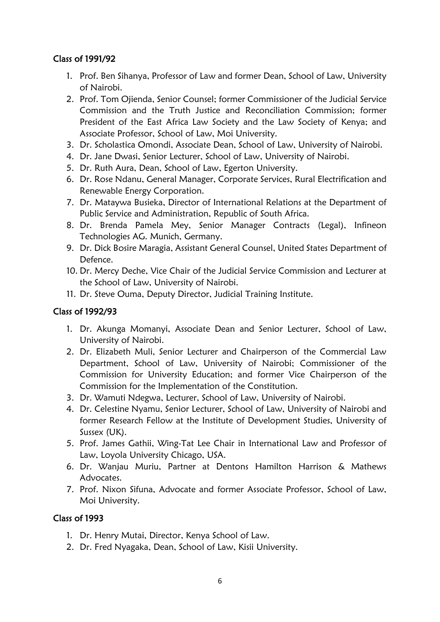# Class of 1991/92

- 1. Prof. Ben Sihanya, Professor of Law and former Dean, School of Law, University of Nairobi.
- 2. Prof. Tom Ojienda, Senior Counsel; former Commissioner of the Judicial Service Commission and the Truth Justice and Reconciliation Commission; former President of the East Africa Law Society and the Law Society of Kenya; and Associate Professor, School of Law, Moi University.
- 3. Dr. Scholastica Omondi, Associate Dean, School of Law, University of Nairobi.
- 4. Dr. Jane Dwasi, Senior Lecturer, School of Law, University of Nairobi.
- 5. Dr. Ruth Aura, Dean, School of Law, Egerton University.
- 6. Dr. Rose Ndanu, General Manager, Corporate Services, Rural Electrification and Renewable Energy Corporation.
- 7. Dr. Mataywa Busieka, Director of International Relations at the Department of Public Service and Administration, Republic of South Africa.
- 8. Dr. Brenda Pamela Mey, Senior Manager Contracts (Legal), Infineon Technologies AG. Munich, Germany.
- 9. Dr. Dick Bosire Maragia, Assistant General Counsel, United States Department of Defence.
- 10. Dr. Mercy Deche, Vice Chair of the Judicial Service Commission and Lecturer at the School of Law, University of Nairobi.
- 11. Dr. Steve Ouma, Deputy Director, Judicial Training Institute.

#### Class of 1992/93

- 1. Dr. Akunga Momanyi, Associate Dean and Senior Lecturer, School of Law, University of Nairobi.
- 2. Dr. Elizabeth Muli, Senior Lecturer and Chairperson of the Commercial Law Department, School of Law, University of Nairobi; Commissioner of the Commission for University Education; and former Vice Chairperson of the Commission for the Implementation of the Constitution.
- 3. Dr. Wamuti Ndegwa, Lecturer, School of Law, University of Nairobi.
- 4. Dr. Celestine Nyamu, Senior Lecturer, School of Law, University of Nairobi and former Research Fellow at the Institute of Development Studies, University of Sussex (UK).
- 5. Prof. James Gathii, Wing-Tat Lee Chair in International Law and Professor of Law, Loyola University Chicago, USA.
- 6. Dr. Wanjau Muriu, Partner at Dentons Hamilton Harrison & Mathews **Advocates**
- 7. Prof. Nixon Sifuna, Advocate and former Associate Professor, School of Law, Moi University.

- 1. Dr. Henry Mutai, Director, Kenya School of Law.
- 2. Dr. Fred Nyagaka, Dean, School of Law, Kisii University.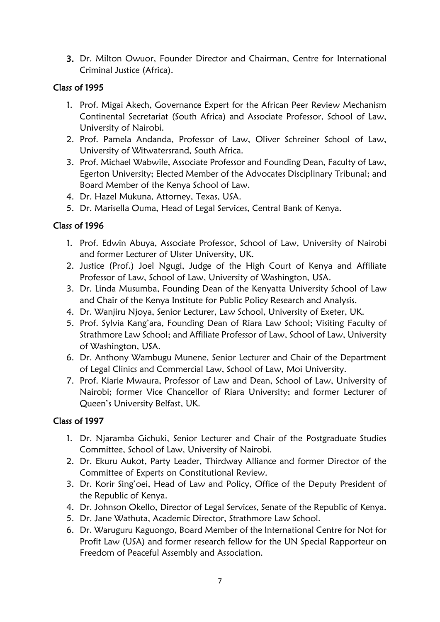3. Dr. Milton Owuor, Founder Director and Chairman, Centre for International Criminal Justice (Africa).

### Class of 1995

- 1. Prof. Migai Akech, Governance Expert for the African Peer Review Mechanism Continental Secretariat (South Africa) and Associate Professor, School of Law, University of Nairobi.
- 2. Prof. Pamela Andanda, Professor of Law, Oliver Schreiner School of Law, University of Witwatersrand, South Africa.
- 3. Prof. Michael Wabwile, Associate Professor and Founding Dean, Faculty of Law, Egerton University; Elected Member of the Advocates Disciplinary Tribunal; and Board Member of the Kenya School of Law.
- 4. Dr. Hazel Mukuna, Attorney, Texas, USA.
- 5. Dr. Marisella Ouma, Head of Legal Services, Central Bank of Kenya.

# Class of 1996

- 1. Prof. Edwin Abuya, Associate Professor, School of Law, University of Nairobi and former Lecturer of Ulster University, UK.
- 2. Justice (Prof.) Joel Ngugi, Judge of the High Court of Kenya and Affiliate Professor of Law, School of Law, University of Washington, USA.
- 3. Dr. Linda Musumba, Founding Dean of the Kenyatta University School of Law and Chair of the Kenya Institute for Public Policy Research and Analysis.
- 4. Dr. Wanjiru Njoya, Senior Lecturer, Law School, University of Exeter, UK.
- 5. Prof. Sylvia Kang'ara, Founding Dean of Riara Law School; Visiting Faculty of Strathmore Law School; and Affiliate Professor of Law, School of Law, University of Washington, USA.
- 6. Dr. Anthony Wambugu Munene, Senior Lecturer and Chair of the Department of Legal Clinics and Commercial Law, School of Law, Moi University.
- 7. Prof. Kiarie Mwaura, Professor of Law and Dean, School of Law, University of Nairobi; former Vice Chancellor of Riara University; and former Lecturer of Queen's University Belfast, UK.

- 1. Dr. Njaramba Gichuki, Senior Lecturer and Chair of the Postgraduate Studies Committee, School of Law, University of Nairobi.
- 2. Dr. Ekuru Aukot, Party Leader, Thirdway Alliance and former Director of the Committee of Experts on Constitutional Review.
- 3. Dr. Korir Sing'oei, Head of Law and Policy, Office of the Deputy President of the Republic of Kenya.
- 4. Dr. Johnson Okello, Director of Legal Services, Senate of the Republic of Kenya.
- 5. Dr. Jane Wathuta, Academic Director, Strathmore Law School.
- 6. Dr. Waruguru Kaguongo, Board Member of the International Centre for Not for Profit Law (USA) and former research fellow for the UN Special Rapporteur on Freedom of Peaceful Assembly and Association.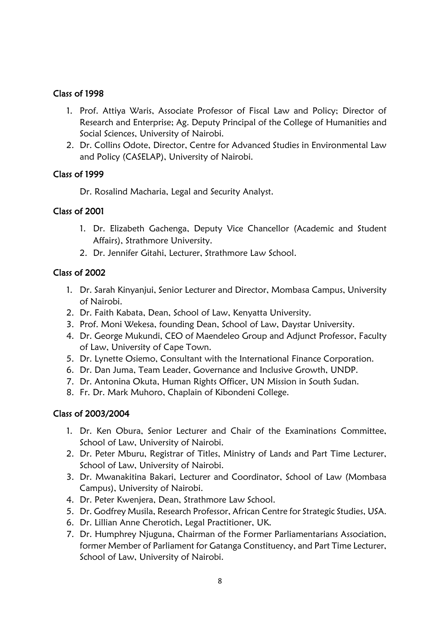#### Class of 1998

- 1. Prof. Attiya Waris, Associate Professor of Fiscal Law and Policy; Director of Research and Enterprise; Ag. Deputy Principal of the College of Humanities and Social Sciences, University of Nairobi.
- 2. Dr. Collins Odote, Director, Centre for Advanced Studies in Environmental Law and Policy (CASELAP), University of Nairobi.

#### Class of 1999

Dr. Rosalind Macharia, Legal and Security Analyst.

# Class of 2001

- 1. Dr. Elizabeth Gachenga, Deputy Vice Chancellor (Academic and Student Affairs), Strathmore University.
- 2. Dr. Jennifer Gitahi, Lecturer, Strathmore Law School.

### Class of 2002

- 1. Dr. Sarah Kinyanjui, Senior Lecturer and Director, Mombasa Campus, University of Nairobi.
- 2. Dr. Faith Kabata, Dean, School of Law, Kenyatta University.
- 3. Prof. Moni Wekesa, founding Dean, School of Law, Daystar University.
- 4. Dr. George Mukundi, CEO of Maendeleo Group and Adjunct Professor, Faculty of Law, University of Cape Town.
- 5. Dr. Lynette Osiemo, Consultant with the International Finance Corporation.
- 6. Dr. Dan Juma, Team Leader, Governance and Inclusive Growth, UNDP.
- 7. Dr. Antonina Okuta, Human Rights Officer, UN Mission in South Sudan.
- 8. Fr. Dr. Mark Muhoro, Chaplain of Kibondeni College.

# Class of 2003/2004

- 1. Dr. Ken Obura, Senior Lecturer and Chair of the Examinations Committee, School of Law, University of Nairobi.
- 2. Dr. Peter Mburu, Registrar of Titles, Ministry of Lands and Part Time Lecturer, School of Law, University of Nairobi.
- 3. Dr. Mwanakitina Bakari, Lecturer and Coordinator, School of Law (Mombasa Campus), University of Nairobi.
- 4. Dr. Peter Kwenjera, Dean, Strathmore Law School.
- 5. Dr. Godfrey Musila, Research Professor, African Centre for Strategic Studies, USA.
- 6. Dr. Lillian Anne Cherotich, Legal Practitioner, UK.
- 7. Dr. Humphrey Njuguna, Chairman of the Former Parliamentarians Association, former Member of Parliament for Gatanga Constituency, and Part Time Lecturer, School of Law, University of Nairobi.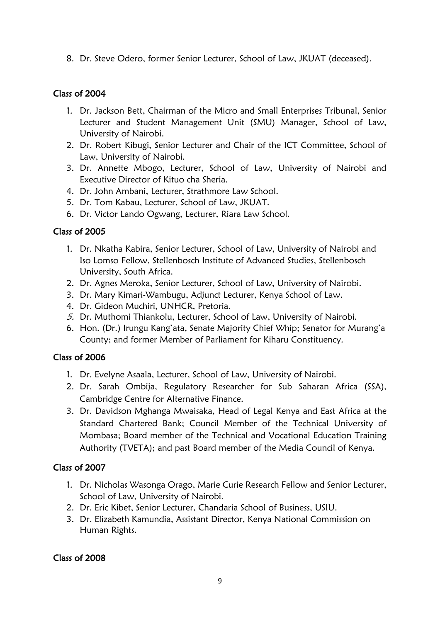8. Dr. Steve Odero, former Senior Lecturer, School of Law, JKUAT (deceased).

## Class of 2004

- 1. Dr. Jackson Bett, Chairman of the Micro and Small Enterprises Tribunal, Senior Lecturer and Student Management Unit (SMU) Manager, School of Law, University of Nairobi.
- 2. Dr. Robert Kibugi, Senior Lecturer and Chair of the ICT Committee, School of Law, University of Nairobi.
- 3. Dr. Annette Mbogo, Lecturer, School of Law, University of Nairobi and Executive Director of Kituo cha Sheria.
- 4. Dr. John Ambani, Lecturer, Strathmore Law School.
- 5. Dr. Tom Kabau, Lecturer, School of Law, JKUAT.
- 6. Dr. Victor Lando Ogwang, Lecturer, Riara Law School.

# Class of 2005

- 1. Dr. Nkatha Kabira, Senior Lecturer, School of Law, University of Nairobi and Iso Lomso Fellow, Stellenbosch Institute of Advanced Studies, Stellenbosch University, South Africa.
- 2. Dr. Agnes Meroka, Senior Lecturer, School of Law, University of Nairobi.
- 3. Dr. Mary Kimari-Wambugu, Adjunct Lecturer, Kenya School of Law.
- 4. Dr. Gideon Muchiri, UNHCR, Pretoria.
- 5. Dr. Muthomi Thiankolu, Lecturer, School of Law, University of Nairobi.
- 6. Hon. (Dr.) Irungu Kang'ata, Senate Majority Chief Whip; Senator for Murang'a County; and former Member of Parliament for Kiharu Constituency.

# Class of 2006

- 1. Dr. Evelyne Asaala, Lecturer, School of Law, University of Nairobi.
- 2. Dr. Sarah Ombija, Regulatory Researcher for Sub Saharan Africa (SSA), Cambridge Centre for Alternative Finance.
- 3. Dr. Davidson Mghanga Mwaisaka, Head of Legal Kenya and East Africa at the Standard Chartered Bank; Council Member of the Technical University of Mombasa; Board member of the Technical and Vocational Education Training Authority (TVETA); and past Board member of the Media Council of Kenya.

# Class of 2007

- 1. Dr. Nicholas Wasonga Orago, Marie Curie Research Fellow and Senior Lecturer, School of Law, University of Nairobi.
- 2. Dr. Eric Kibet, Senior Lecturer, Chandaria School of Business, USIU.
- 3. Dr. Elizabeth Kamundia, Assistant Director, Kenya National Commission on Human Rights.